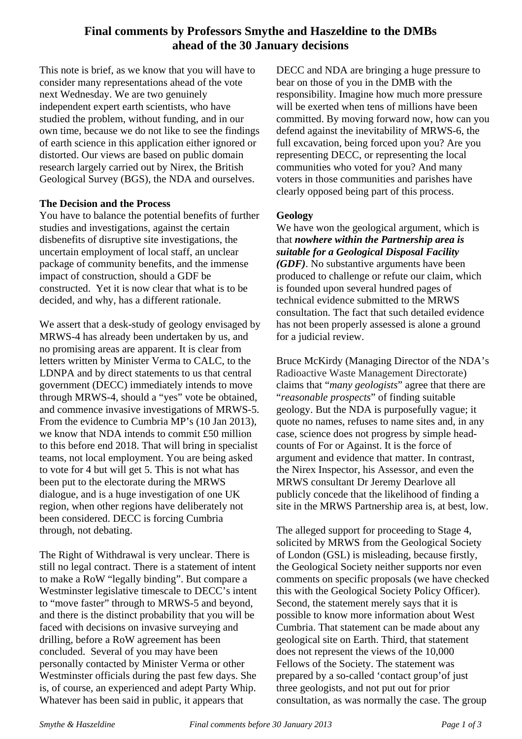# **Final comments by Professors Smythe and Haszeldine to the DMBs ahead of the 30 January decisions**

This note is brief, as we know that you will have to consider many representations ahead of the vote next Wednesday. We are two genuinely independent expert earth scientists, who have studied the problem, without funding, and in our own time, because we do not like to see the findings of earth science in this application either ignored or distorted. Our views are based on public domain research largely carried out by Nirex, the British Geological Survey (BGS), the NDA and ourselves.

## **The Decision and the Process**

You have to balance the potential benefits of further studies and investigations, against the certain disbenefits of disruptive site investigations, the uncertain employment of local staff, an unclear package of community benefits, and the immense impact of construction, should a GDF be constructed. Yet it is now clear that what is to be decided, and why, has a different rationale.

We assert that a desk-study of geology envisaged by MRWS-4 has already been undertaken by us, and no promising areas are apparent. It is clear from letters written by Minister Verma to CALC, to the LDNPA and by direct statements to us that central government (DECC) immediately intends to move through MRWS-4, should a "yes" vote be obtained, and commence invasive investigations of MRWS-5. From the evidence to Cumbria MP's (10 Jan 2013), we know that NDA intends to commit £50 million to this before end 2018. That will bring in specialist teams, not local employment. You are being asked to vote for 4 but will get 5. This is not what has been put to the electorate during the MRWS dialogue, and is a huge investigation of one UK region, when other regions have deliberately not been considered. DECC is forcing Cumbria through, not debating.

The Right of Withdrawal is very unclear. There is still no legal contract. There is a statement of intent to make a RoW "legally binding". But compare a Westminster legislative timescale to DECC's intent to "move faster" through to MRWS-5 and beyond, and there is the distinct probability that you will be faced with decisions on invasive surveying and drilling, before a RoW agreement has been concluded. Several of you may have been personally contacted by Minister Verma or other Westminster officials during the past few days. She is, of course, an experienced and adept Party Whip. Whatever has been said in public, it appears that

DECC and NDA are bringing a huge pressure to bear on those of you in the DMB with the responsibility. Imagine how much more pressure will be exerted when tens of millions have been committed. By moving forward now, how can you defend against the inevitability of MRWS-6, the full excavation, being forced upon you? Are you representing DECC, or representing the local communities who voted for you? And many voters in those communities and parishes have clearly opposed being part of this process.

# **Geology**

We have won the geological argument, which is that *nowhere within the Partnership area is suitable for a Geological Disposal Facility (GDF)*. No substantive arguments have been produced to challenge or refute our claim, which is founded upon several hundred pages of technical evidence submitted to the MRWS consultation. The fact that such detailed evidence has not been properly assessed is alone a ground for a judicial review.

Bruce McKirdy (Managing Director of the NDA's Radioactive Waste Management Directorate) claims that "*many geologists*" agree that there are "*reasonable prospects*" of finding suitable geology. But the NDA is purposefully vague; it quote no names, refuses to name sites and, in any case, science does not progress by simple headcounts of For or Against. It is the force of argument and evidence that matter. In contrast, the Nirex Inspector, his Assessor, and even the MRWS consultant Dr Jeremy Dearlove all publicly concede that the likelihood of finding a site in the MRWS Partnership area is, at best, low.

The alleged support for proceeding to Stage 4, solicited by MRWS from the Geological Society of London (GSL) is misleading, because firstly, the Geological Society neither supports nor even comments on specific proposals (we have checked this with the Geological Society Policy Officer). Second, the statement merely says that it is possible to know more information about West Cumbria. That statement can be made about any geological site on Earth. Third, that statement does not represent the views of the 10,000 Fellows of the Society. The statement was prepared by a so-called 'contact group'of just three geologists, and not put out for prior consultation, as was normally the case. The group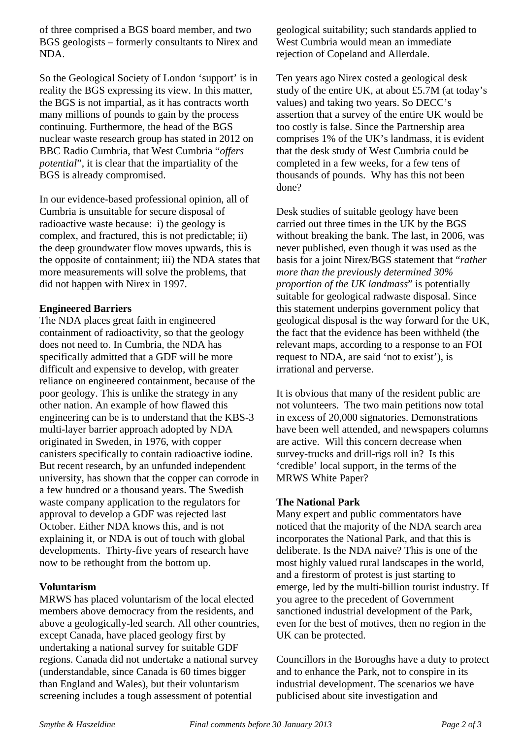of three comprised a BGS board member, and two BGS geologists – formerly consultants to Nirex and NDA.

So the Geological Society of London 'support' is in reality the BGS expressing its view. In this matter, the BGS is not impartial, as it has contracts worth many millions of pounds to gain by the process continuing. Furthermore, the head of the BGS nuclear waste research group has stated in 2012 on BBC Radio Cumbria, that West Cumbria "*offers potential*", it is clear that the impartiality of the BGS is already compromised.

In our evidence-based professional opinion, all of Cumbria is unsuitable for secure disposal of radioactive waste because: i) the geology is complex, and fractured, this is not predictable; ii) the deep groundwater flow moves upwards, this is the opposite of containment; iii) the NDA states that more measurements will solve the problems, that did not happen with Nirex in 1997.

# **Engineered Barriers**

The NDA places great faith in engineered containment of radioactivity, so that the geology does not need to. In Cumbria, the NDA has specifically admitted that a GDF will be more difficult and expensive to develop, with greater reliance on engineered containment, because of the poor geology. This is unlike the strategy in any other nation. An example of how flawed this engineering can be is to understand that the KBS-3 multi-layer barrier approach adopted by NDA originated in Sweden, in 1976, with copper canisters specifically to contain radioactive iodine. But recent research, by an unfunded independent university, has shown that the copper can corrode in a few hundred or a thousand years. The Swedish waste company application to the regulators for approval to develop a GDF was rejected last October. Either NDA knows this, and is not explaining it, or NDA is out of touch with global developments. Thirty-five years of research have now to be rethought from the bottom up.

#### **Voluntarism**

MRWS has placed voluntarism of the local elected members above democracy from the residents, and above a geologically-led search. All other countries, except Canada, have placed geology first by undertaking a national survey for suitable GDF regions. Canada did not undertake a national survey (understandable, since Canada is 60 times bigger than England and Wales), but their voluntarism screening includes a tough assessment of potential

geological suitability; such standards applied to West Cumbria would mean an immediate rejection of Copeland and Allerdale.

Ten years ago Nirex costed a geological desk study of the entire UK, at about £5.7M (at today's values) and taking two years. So DECC's assertion that a survey of the entire UK would be too costly is false. Since the Partnership area comprises 1% of the UK's landmass, it is evident that the desk study of West Cumbria could be completed in a few weeks, for a few tens of thousands of pounds. Why has this not been done?

Desk studies of suitable geology have been carried out three times in the UK by the BGS without breaking the bank. The last, in 2006, was never published, even though it was used as the basis for a joint Nirex/BGS statement that "*rather more than the previously determined 30% proportion of the UK landmass*" is potentially suitable for geological radwaste disposal. Since this statement underpins government policy that geological disposal is the way forward for the UK, the fact that the evidence has been withheld (the relevant maps, according to a response to an FOI request to NDA, are said 'not to exist'), is irrational and perverse.

It is obvious that many of the resident public are not volunteers. The two main petitions now total in excess of 20,000 signatories. Demonstrations have been well attended, and newspapers columns are active. Will this concern decrease when survey-trucks and drill-rigs roll in? Is this 'credible' local support, in the terms of the MRWS White Paper?

#### **The National Park**

Many expert and public commentators have noticed that the majority of the NDA search area incorporates the National Park, and that this is deliberate. Is the NDA naive? This is one of the most highly valued rural landscapes in the world, and a firestorm of protest is just starting to emerge, led by the multi-billion tourist industry. If you agree to the precedent of Government sanctioned industrial development of the Park, even for the best of motives, then no region in the UK can be protected.

Councillors in the Boroughs have a duty to protect and to enhance the Park, not to conspire in its industrial development. The scenarios we have publicised about site investigation and